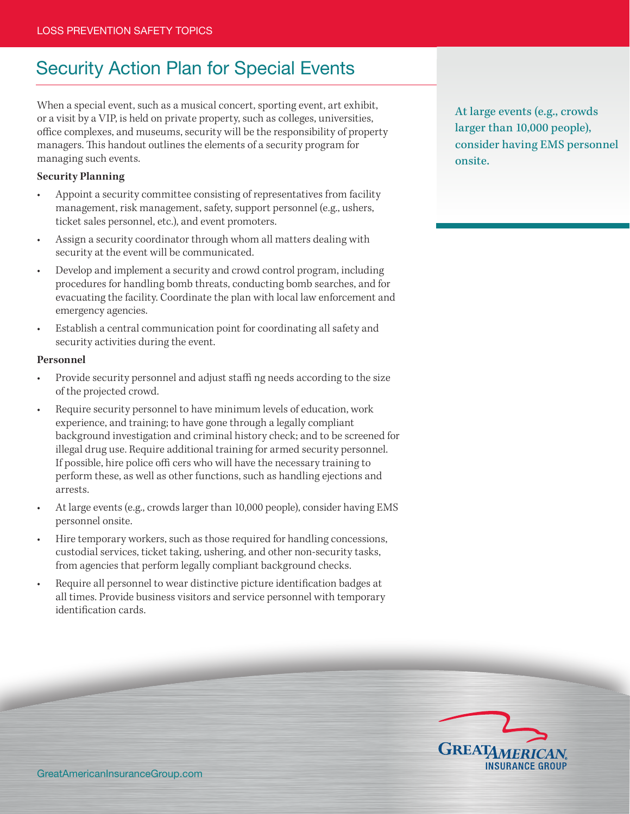## Security Action Plan for Special Events

When a special event, such as a musical concert, sporting event, art exhibit, or a visit by a VIP, is held on private property, such as colleges, universities, office complexes, and museums, security will be the responsibility of property managers. This handout outlines the elements of a security program for managing such events.

## **Security Planning**

- Appoint a security committee consisting of representatives from facility management, risk management, safety, support personnel (e.g., ushers, ticket sales personnel, etc.), and event promoters.
- Assign a security coordinator through whom all matters dealing with security at the event will be communicated.
- Develop and implement a security and crowd control program, including procedures for handling bomb threats, conducting bomb searches, and for evacuating the facility. Coordinate the plan with local law enforcement and emergency agencies.
- Establish a central communication point for coordinating all safety and security activities during the event.

## **Personnel**

- Provide security personnel and adjust staffi ng needs according to the size of the projected crowd.
- Require security personnel to have minimum levels of education, work experience, and training; to have gone through a legally compliant background investigation and criminal history check; and to be screened for illegal drug use. Require additional training for armed security personnel. If possible, hire police offi cers who will have the necessary training to perform these, as well as other functions, such as handling ejections and arrests.
- At large events (e.g., crowds larger than 10,000 people), consider having EMS personnel onsite.
- Hire temporary workers, such as those required for handling concessions, custodial services, ticket taking, ushering, and other non-security tasks, from agencies that perform legally compliant background checks.
- Require all personnel to wear distinctive picture identification badges at all times. Provide business visitors and service personnel with temporary identification cards.

At large events (e.g., crowds larger than 10,000 people), consider having EMS personnel onsite.